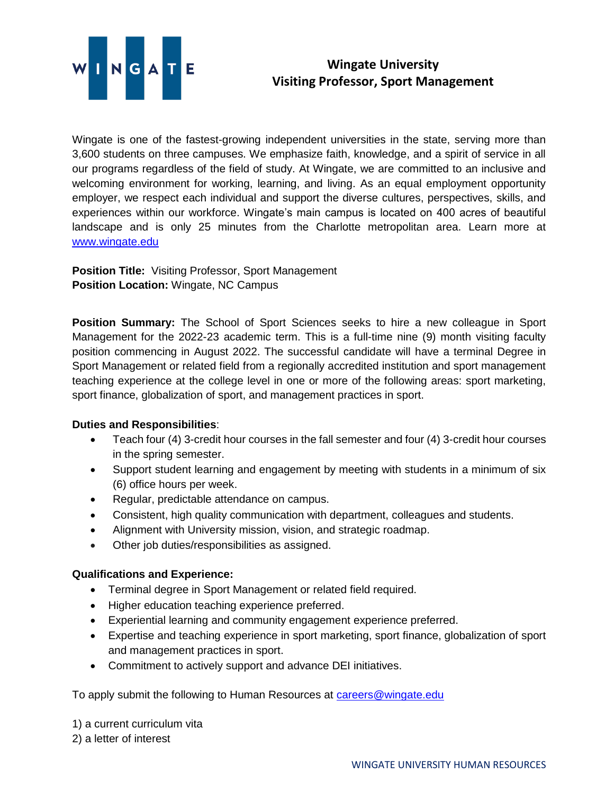

## **Wingate University Visiting Professor, Sport Management**

Wingate is one of the fastest-growing independent universities in the state, serving more than 3,600 students on three campuses. We emphasize faith, knowledge, and a spirit of service in all our programs regardless of the field of study. At Wingate, we are committed to an inclusive and welcoming environment for working, learning, and living. As an equal employment opportunity employer, we respect each individual and support the diverse cultures, perspectives, skills, and experiences within our workforce. Wingate's main campus is located on 400 acres of beautiful landscape and is only 25 minutes from the Charlotte metropolitan area. Learn more at [www.wingate.edu](file:///C:/Users/h.griffin/Documents/Searches/MASM%20Program%20Director%20(Fall%202022)/www.wingate.edu)

**Position Title:** Visiting Professor, Sport Management **Position Location:** Wingate, NC Campus

**Position Summary:** The School of Sport Sciences seeks to hire a new colleague in Sport Management for the 2022-23 academic term. This is a full-time nine (9) month visiting faculty position commencing in August 2022. The successful candidate will have a terminal Degree in Sport Management or related field from a regionally accredited institution and sport management teaching experience at the college level in one or more of the following areas: sport marketing, sport finance, globalization of sport, and management practices in sport.

## **Duties and Responsibilities**:

- Teach four (4) 3-credit hour courses in the fall semester and four (4) 3-credit hour courses in the spring semester.
- Support student learning and engagement by meeting with students in a minimum of six (6) office hours per week.
- Regular, predictable attendance on campus.
- Consistent, high quality communication with department, colleagues and students.
- Alignment with University mission, vision, and strategic roadmap.
- Other job duties/responsibilities as assigned.

## **Qualifications and Experience:**

- Terminal degree in Sport Management or related field required.
- Higher education teaching experience preferred.
- Experiential learning and community engagement experience preferred.
- Expertise and teaching experience in sport marketing, sport finance, globalization of sport and management practices in sport.
- Commitment to actively support and advance DEI initiatives.

To apply submit the following to Human Resources at [careers@wingate.edu](mailto:careers@wingate.edu)

1) a current curriculum vita

2) a letter of interest